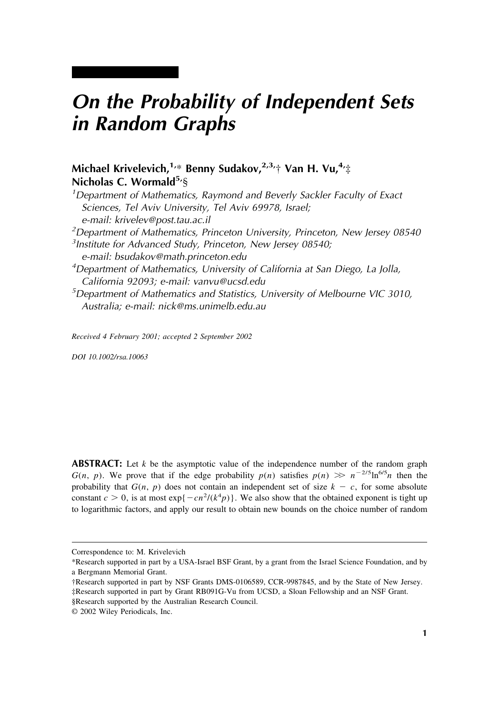# *On the Probability of Independent Sets in Random Graphs*

# **Michael Krivelevich,1,**\* **Benny Sudakov,2,3,**† **Van H. Vu,4,**‡ Nicholas C. Wormald<sup>5</sup>/§

*1 Department of Mathematics, Raymond and Beverly Sackler Faculty of Exact Sciences, Tel Aviv University, Tel Aviv 69978, Israel; e-mail: krivelev@post.tau.ac.il 2 Department of Mathematics, Princeton University, Princeton, New Jersey 08540*

*3 Institute for Advanced Study, Princeton, New Jersey 08540; e-mail: bsudakov@math.princeton.edu*

*4 Department of Mathematics, University of California at San Diego, La Jolla, California 92093; e-mail: vanvu@ucsd.edu*

*5 Department of Mathematics and Statistics, University of Melbourne VIC 3010, Australia; e-mail: nick@ms.unimelb.edu.au*

*Received 4 February 2001; accepted 2 September 2002*

*DOI 10.1002/rsa.10063*

**ABSTRACT:** Let *k* be the asymptotic value of the independence number of the random graph *G*(*n*, *p*). We prove that if the edge probability  $p(n)$  satisfies  $p(n) \gg n^{-2/5} \ln^{6/5} n$  then the probability that  $G(n, p)$  does not contain an independent set of size  $k - c$ , for some absolute constant  $c > 0$ , is at most  $\exp\{-cn^2/(k^4p)\}\)$ . We also show that the obtained exponent is tight up to logarithmic factors, and apply our result to obtain new bounds on the choice number of random

Correspondence to: M. Krivelevich

<sup>\*</sup>Research supported in part by a USA-Israel BSF Grant, by a grant from the Israel Science Foundation, and by a Bergmann Memorial Grant.

<sup>†</sup>Research supported in part by NSF Grants DMS-0106589, CCR-9987845, and by the State of New Jersey. ‡Research supported in part by Grant RB091G-Vu from UCSD, a Sloan Fellowship and an NSF Grant. §Research supported by the Australian Research Council.

<sup>© 2002</sup> Wiley Periodicals, Inc.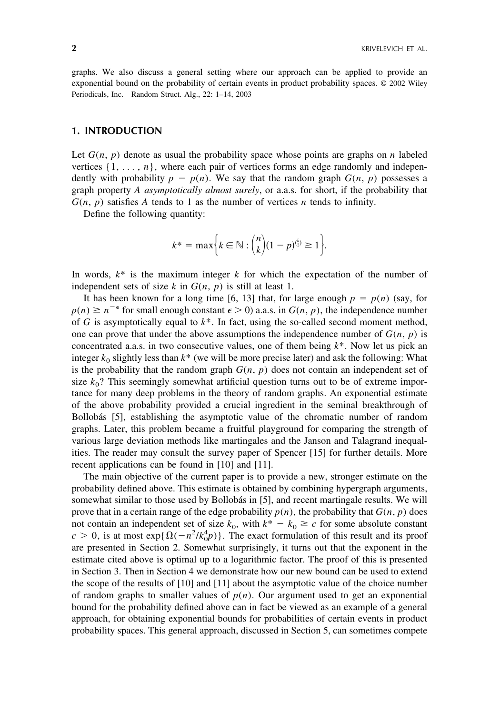graphs. We also discuss a general setting where our approach can be applied to provide an exponential bound on the probability of certain events in product probability spaces. © 2002 Wiley Periodicals, Inc. Random Struct. Alg., 22: 1–14, 2003

#### **1. INTRODUCTION**

Let  $G(n, p)$  denote as usual the probability space whose points are graphs on *n* labeled vertices  $\{1, \ldots, n\}$ , where each pair of vertices forms an edge randomly and independently with probability  $p = p(n)$ . We say that the random graph  $G(n, p)$  possesses a graph property *A asymptotically almost surely*, or a.a.s. for short, if the probability that  $G(n, p)$  satisfies *A* tends to 1 as the number of vertices *n* tends to infinity.

Define the following quantity:

$$
k^* = \max \Big\{ k \in \mathbb{N} : {n \choose k} (1-p)^{{k \choose 2}} \ge 1 \Big\}.
$$

In words,  $k^*$  is the maximum integer  $k$  for which the expectation of the number of independent sets of size  $k$  in  $G(n, p)$  is still at least 1.

It has been known for a long time [6, 13] that, for large enough  $p = p(n)$  (say, for  $p(n) \ge n^{-\epsilon}$  for small enough constant  $\epsilon > 0$ ) a.a.s. in  $G(n, p)$ , the independence number of *G* is asymptotically equal to *k*\*. In fact, using the so-called second moment method, one can prove that under the above assumptions the independence number of  $G(n, p)$  is concentrated a.a.s. in two consecutive values, one of them being *k*\*. Now let us pick an integer  $k_0$  slightly less than  $k^*$  (we will be more precise later) and ask the following: What is the probability that the random graph  $G(n, p)$  does not contain an independent set of size  $k_0$ ? This seemingly somewhat artificial question turns out to be of extreme importance for many deep problems in the theory of random graphs. An exponential estimate of the above probability provided a crucial ingredient in the seminal breakthrough of Bollobás [5], establishing the asymptotic value of the chromatic number of random graphs. Later, this problem became a fruitful playground for comparing the strength of various large deviation methods like martingales and the Janson and Talagrand inequalities. The reader may consult the survey paper of Spencer [15] for further details. More recent applications can be found in [10] and [11].

The main objective of the current paper is to provide a new, stronger estimate on the probability defined above. This estimate is obtained by combining hypergraph arguments, somewhat similar to those used by Bollobás in [5], and recent martingale results. We will prove that in a certain range of the edge probability  $p(n)$ , the probability that  $G(n, p)$  does not contain an independent set of size  $k_0$ , with  $k^* - k_0 \ge c$  for some absolute constant  $c > 0$ , is at most  $exp{\{\Omega(-n^2/k_0^4p)}\}$ . The exact formulation of this result and its proof are presented in Section 2. Somewhat surprisingly, it turns out that the exponent in the estimate cited above is optimal up to a logarithmic factor. The proof of this is presented in Section 3. Then in Section 4 we demonstrate how our new bound can be used to extend the scope of the results of [10] and [11] about the asymptotic value of the choice number of random graphs to smaller values of  $p(n)$ . Our argument used to get an exponential bound for the probability defined above can in fact be viewed as an example of a general approach, for obtaining exponential bounds for probabilities of certain events in product probability spaces. This general approach, discussed in Section 5, can sometimes compete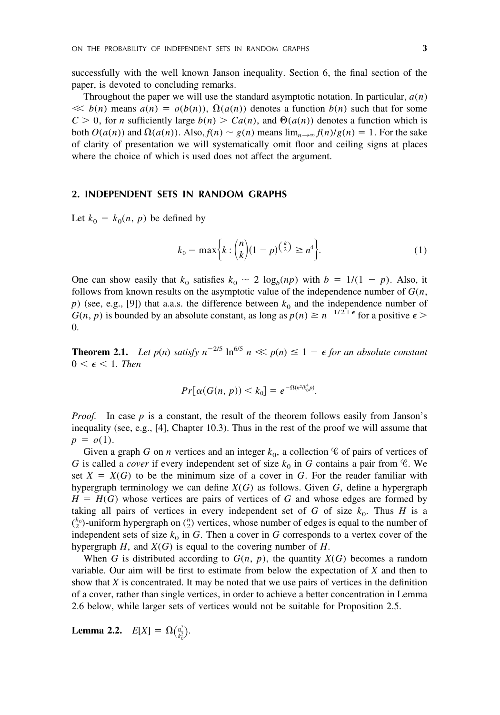successfully with the well known Janson inequality. Section 6, the final section of the paper, is devoted to concluding remarks.

Throughout the paper we will use the standard asymptotic notation. In particular, *a*(*n*)  $\ll b(n)$  means  $a(n) = o(b(n))$ ,  $\Omega(a(n))$  denotes a function  $b(n)$  such that for some  $C > 0$ , for *n* sufficiently large  $b(n) > Ca(n)$ , and  $\Theta(a(n))$  denotes a function which is both  $O(a(n))$  and  $\Omega(a(n))$ . Also,  $f(n) \sim g(n)$  means  $\lim_{n \to \infty} f(n)/g(n) = 1$ . For the sake of clarity of presentation we will systematically omit floor and ceiling signs at places where the choice of which is used does not affect the argument.

#### **2. INDEPENDENT SETS IN RANDOM GRAPHS**

Let  $k_0 = k_0(n, p)$  be defined by

$$
k_0 = \max\bigg\{k : \binom{n}{k} (1-p)^{\binom{k}{2}} \ge n^4\bigg\}.
$$
 (1)

One can show easily that  $k_0$  satisfies  $k_0 \sim 2 \log_b(np)$  with  $b = 1/(1 - p)$ . Also, it follows from known results on the asymptotic value of the independence number of *G*(*n*,  $p$ ) (see, e.g., [9]) that a.a.s. the difference between  $k_0$  and the independence number of  $G(n, p)$  is bounded by an absolute constant, as long as  $p(n) \ge n^{-1/2 + \epsilon}$  for a positive  $\epsilon$ 0.

**Theorem 2.1.** Let  $p(n)$  satisfy  $n^{-2/5}$   $\ln^{6/5} n \ll p(n) \leq 1 - \epsilon$  for an absolute constant  $0 < \epsilon < 1$ . *Then* 

$$
Pr[\alpha(G(n, p)) < k_0] = e^{-\Omega(n^2/k_0^4 p)}.
$$

*Proof.* In case *p* is a constant, the result of the theorem follows easily from Janson's inequality (see, e.g., [4], Chapter 10.3). Thus in the rest of the proof we will assume that  $p = o(1)$ .

Given a graph *G* on *n* vertices and an integer  $k_0$ , a collection  $\mathscr C$  of pairs of vertices of *G* is called a *cover* if every independent set of size  $k_0$  in *G* contains a pair from  $\mathscr{C}$ . We set  $X = X(G)$  to be the minimum size of a cover in G. For the reader familiar with hypergraph terminology we can define *X*(*G*) as follows. Given *G*, define a hypergraph  $H = H(G)$  whose vertices are pairs of vertices of *G* and whose edges are formed by taking all pairs of vertices in every independent set of *G* of size  $k_0$ . Thus *H* is a  $\binom{k_0}{2}$ -uniform hypergraph on  $\binom{n}{2}$  vertices, whose number of edges is equal to the number of independent sets of size  $k_0$  in *G*. Then a cover in *G* corresponds to a vertex cover of the hypergraph *H*, and *X*(*G*) is equal to the covering number of *H*.

When *G* is distributed according to  $G(n, p)$ , the quantity  $X(G)$  becomes a random variable. Our aim will be first to estimate from below the expectation of *X* and then to show that *X* is concentrated. It may be noted that we use pairs of vertices in the definition of a cover, rather than single vertices, in order to achieve a better concentration in Lemma 2.6 below, while larger sets of vertices would not be suitable for Proposition 2.5.

**Lemma 2.2.**  $E[X] = \Omega(\frac{n^2}{k_0^2})$  $\frac{n^2}{k_0^2}$ .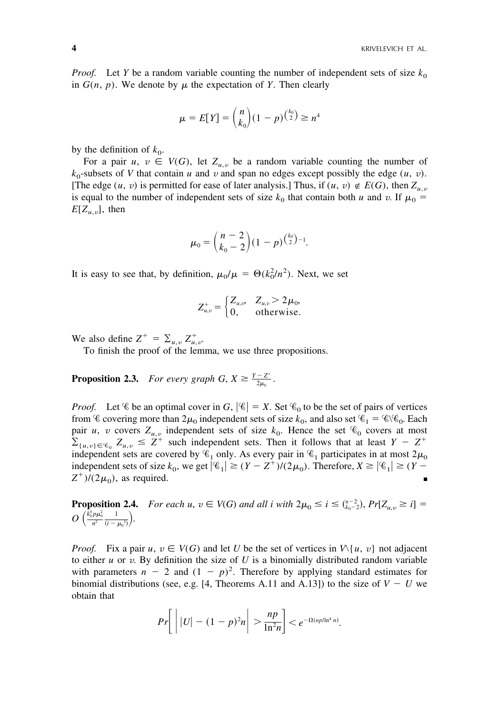*Proof.* Let *Y* be a random variable counting the number of independent sets of size  $k_0$ in  $G(n, p)$ . We denote by  $\mu$  the expectation of *Y*. Then clearly

$$
\mu = E[Y] = {n \choose k_0} (1 - p)^{{k_0 \choose 2}} \ge n^4
$$

by the definition of  $k_0$ .

For a pair  $u, v \in V(G)$ , let  $Z_{u,v}$  be a random variable counting the number of  $k_0$ -subsets of *V* that contain *u* and *v* and span no edges except possibly the edge  $(u, v)$ . [The edge  $(u, v)$  is permitted for ease of later analysis.] Thus, if  $(u, v) \notin E(G)$ , then  $Z_{u,v}$ is equal to the number of independent sets of size  $k_0$  that contain both *u* and *v*. If  $\mu_0$  =  $E[Z_{u,v}]$ , then

$$
\mu_0 = \binom{n-2}{k_0-2} (1-p)^{\binom{k_0}{2}-1}.
$$

It is easy to see that, by definition,  $\mu_0/\mu = \Theta(k_0^2/n^2)$ . Next, we set

$$
Z_{u,v}^{+} = \begin{cases} Z_{u,v} & Z_{u,v} > 2\mu_0, \\ 0, & \text{otherwise.} \end{cases}
$$

We also define  $Z^+ = \sum_{u,v} Z^+_{u,v}$ .

To finish the proof of the lemma, we use three propositions.

**Proposition 2.3.** *For every graph G,*  $X \geq \frac{Y - Z^+}{2\mu}$  $\frac{-Z}{2\mu_0}$  .

*Proof.* Let  $\mathscr C$  be an optimal cover in *G*,  $|\mathscr C| = X$ . Set  $\mathscr C_0$  to be the set of pairs of vertices from  $\mathscr C$  covering more than  $2\mu_0$  independent sets of size  $k_0$ , and also set  $\mathscr C_1 = \mathscr C \setminus \mathscr C_0$ . Each pair *u*, *v* covers  $Z_{u,v}$  independent sets of size  $k_0$ . Hence the set  $\mathcal{C}_0$  covers at most  $\sum_{\{u,v\}\in\mathscr{C}_0} Z_{u,v} \leq Z^+$  such independent sets. Then it follows that at least  $Y - Z^+$ independent sets are covered by  $\mathscr{C}_1$  only. As every pair in  $\mathscr{C}_1$  participates in at most  $2\mu_0$ independent sets of size  $k_0$ , we get  $|C_1| \ge (Y - Z^+)/(2\mu_0)$ . Therefore,  $X \ge |C_1| \ge (Y - Z^+)$  $Z^{\dagger}$ /(2 $\mu$ <sub>0</sub>), as required.

**Proposition 2.4.** *For each u,*  $v \in V(G)$  *and all i with*  $2\mu_0 \le i \le \binom{n-2}{k_0-2}$ ,  $Pr[Z_{u,v} \ge i] =$  $O\left(\frac{k_0^4 p \mu_0^2}{n^2}\right)$ *n*2 1  $\frac{1}{(i-\mu_0^2)}$ .

*Proof.* Fix a pair  $u, v \in V(G)$  and let *U* be the set of vertices in  $V\setminus\{u, v\}$  not adjacent to either  $u$  or  $v$ . By definition the size of  $U$  is a binomially distributed random variable with parameters  $n - 2$  and  $(1 - p)^2$ . Therefore by applying standard estimates for binomial distributions (see, e.g. [4, Theorems A.11 and A.13]) to the size of  $V - U$  we obtain that

$$
Pr\bigg[\bigg||U|-(1-p)^2n\bigg|>\frac{np}{\ln^2 n}\bigg]
$$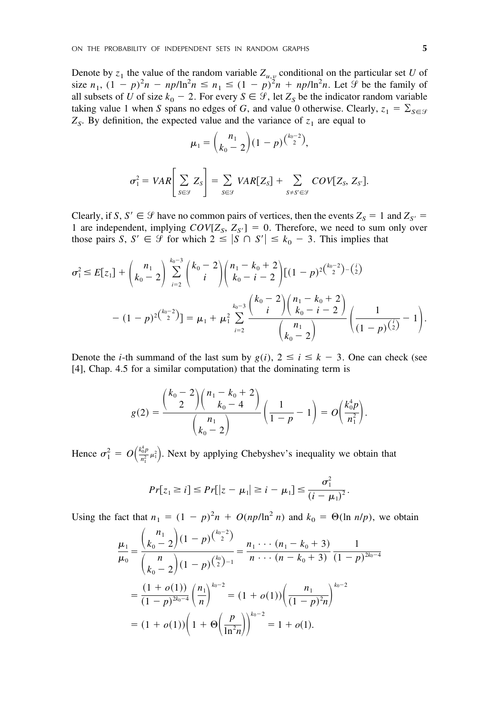Denote by  $z_1$  the value of the random variable  $Z_{u,y}$  conditional on the particular set *U* of size  $n_1$ ,  $(1 - p)^2 n - np/\ln^2 n \le n_1 \le (1 - p)^2 n + np/\ln^2 n$ . Let  $\mathcal{F}$  be the family of all subsets of *U* of size  $k_0 - 2$ . For every  $S \in \mathcal{G}$ , let  $Z_S$  be the indicator random variable taking value 1 when *S* spans no edges of *G*, and value 0 otherwise. Clearly,  $z_1 = \sum_{S \in \mathcal{S}} z_S$  $Z<sub>S</sub>$ . By definition, the expected value and the variance of  $z<sub>1</sub>$  are equal to

$$
\mu_1 = {n_1 \choose k_0 - 2} (1 - p)^{{k_0 - 2 \choose 2}},
$$

$$
\sigma_1^2 = VAR \bigg[ \sum_{S \in \mathcal{G}} Z_S \bigg] = \sum_{S \in \mathcal{G}} VAR[Z_S] + \sum_{S \neq S' \in \mathcal{G}} COV[Z_S, Z_{S'}].
$$

Clearly, if *S*,  $S' \in \mathcal{G}$  have no common pairs of vertices, then the events  $Z_S = 1$  and  $Z_{S'} =$ 1 are independent, implying  $COV[Z_S, Z_{S'}] = 0$ . Therefore, we need to sum only over those pairs *S*,  $S' \in \mathcal{G}$  for which  $2 \leq |S \cap S'| \leq k_0 - 3$ . This implies that

$$
\sigma_1^2 \le E[z_1] + {n_1 \choose k_0 - 2} \sum_{i=2}^{k_0 - 3} {k_0 - 2 \choose i} {n_1 - k_0 + 2 \choose k_0 - i - 2} [(1-p)^{2{k_0 - 2 \choose 2}} - (i)]
$$
  

$$
- (1-p)^{2{k_0 - 2 \choose 2}}] = \mu_1 + \mu_1^2 \sum_{i=2}^{k_0 - 3} {k_0 - 3 \choose i} {n_1 - k_0 + 2 \choose k_0 - i - 2} {1 \choose (1-p)^{{i \choose 2}} - 1}.
$$

Denote the *i*-th summand of the last sum by  $g(i)$ ,  $2 \le i \le k - 3$ . One can check (see [4], Chap. 4.5 for a similar computation) that the dominating term is

$$
g(2) = \frac{{\binom{k_0 - 2}{2}} {\binom{n_1 - k_0 + 2}{k_0 - 4}}}{{\binom{n_1}{k_0 - 2}}} \left( \frac{1}{1 - p} - 1 \right) = O\left(\frac{k_0^4 p}{n_1^2}\right).
$$

Hence  $\sigma_1^2 = O\left(\frac{k_0^4 p}{n_1^2}\right)$  $\left(\frac{a_0^4 p}{n_1^2} \mu_1^2\right)$ . Next by applying Chebyshev's inequality we obtain that

$$
Pr[z_1 \geq i] \leq Pr[|z - \mu_1| \geq i - \mu_1] \leq \frac{\sigma_1^2}{(i - \mu_1)^2}.
$$

Using the fact that  $n_1 = (1 - p)^2 n + O(np/\ln^2 n)$  and  $k_0 = \Theta(\ln n/p)$ , we obtain

$$
\frac{\mu_1}{\mu_0} = \frac{\binom{n_1}{k_0 - 2} (1 - p)^{\binom{k_0 - 2}{2}}}{\binom{n}{k_0 - 2} (1 - p)^{\binom{k_0}{2} - 1}} = \frac{n_1 \cdots (n_1 - k_0 + 3)}{n \cdots (n - k_0 + 3)} \frac{1}{(1 - p)^{2k_0 - 4}}
$$

$$
= \frac{(1 + o(1))}{(1 - p)^{2k_0 - 4}} \left(\frac{n_1}{n}\right)^{k_0 - 2} = (1 + o(1)) \left(\frac{n_1}{(1 - p)^{2n}}\right)^{k_0 - 2}
$$

$$
= (1 + o(1)) \left(1 + \Theta\left(\frac{p}{\ln^2 n}\right)\right)^{k_0 - 2} = 1 + o(1).
$$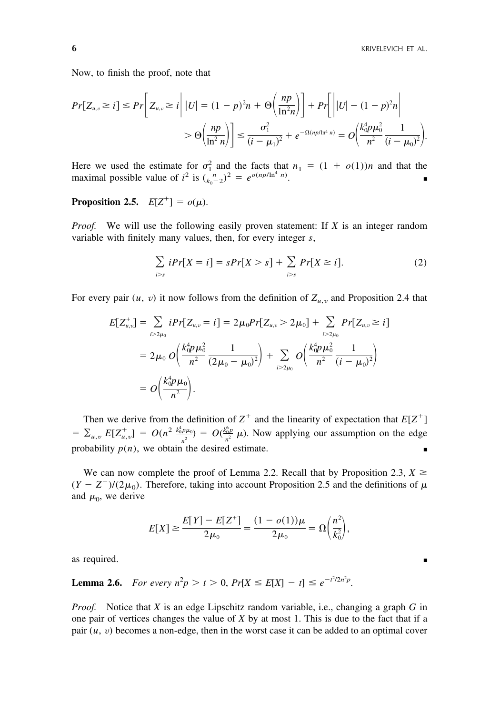Now, to finish the proof, note that

$$
Pr[Z_{u,v} \ge i] \le Pr\bigg[Z_{u,v} \ge i \bigg| |U| = (1-p)^2 n + \Theta\bigg(\frac{np}{\ln^2 n}\bigg)\bigg] + Pr\bigg[\bigg| |U| - (1-p)^2 n\bigg|
$$
  
>  $\Theta\bigg(\frac{np}{\ln^2 n}\bigg)\bigg] \le \frac{\sigma_1^2}{(i-\mu_1)^2} + e^{-\Omega(np/\ln^4 n)} = O\bigg(\frac{k_0^4 p \mu_0^2}{n^2} \frac{1}{(i-\mu_0)^2}\bigg).$ 

Here we used the estimate for  $\sigma_1^2$  and the facts that  $n_1 = (1 + o(1))n$  and that the maximal possible value of  $i^2$  is  $\binom{n}{k_0-2}^2 = e^{o(np/\ln^4 n)}$ .

# **Proposition 2.5.**  $E[Z^+] = o(\mu)$ .

*Proof.* We will use the following easily proven statement: If *X* is an integer random variable with finitely many values, then, for every integer *s*,

$$
\sum_{i>s} iPr[X=i] = sPr[X>s] + \sum_{i>s} Pr[X \ge i]. \tag{2}
$$

For every pair  $(u, v)$  it now follows from the definition of  $Z_{u,v}$  and Proposition 2.4 that

$$
E[Z_{u,v}^{+}] = \sum_{i>2\mu_0} iPr[Z_{u,v} = i] = 2\mu_0 Pr[Z_{u,v} > 2\mu_0] + \sum_{i>2\mu_0} Pr[Z_{u,v} \geq i]
$$
  
=  $2\mu_0 O\left(\frac{k_0^4 p \mu_0^2}{n^2} \frac{1}{(2\mu_0 - \mu_0)^2}\right) + \sum_{i>2\mu_0} O\left(\frac{k_0^4 p \mu_0^2}{n^2} \frac{1}{(i - \mu_0)^2}\right)$   
=  $O\left(\frac{k_0^4 p \mu_0}{n^2}\right).$ 

Then we derive from the definition of  $Z^+$  and the linearity of expectation that  $E[Z^+]$  $= \sum_{u,v} E[Z_{u,v}^+] = O(n^2 \frac{k_0^2 p \mu_0}{n^2}) = O(\frac{k_0^2 p}{n^2} \mu)$ . Now applying our assumption on the edge probability  $p(n)$ , we obtain the desired estimate.

We can now complete the proof of Lemma 2.2. Recall that by Proposition 2.3,  $X \geq$  $(Y - Z^+)/(2\mu_0)$ . Therefore, taking into account Proposition 2.5 and the definitions of  $\mu$ and  $\mu_0$ , we derive

$$
E[X] \ge \frac{E[Y] - E[Z^+]}{2\mu_0} = \frac{(1 - o(1))\mu}{2\mu_0} = \Omega\left(\frac{n^2}{k_0^2}\right),
$$

as required. ■

**Lemma 2.6.** *For every*  $n^2p > t > 0$ ,  $Pr[X \le E[X] - t] \le e^{-t^2/2n^2p}$ .

*Proof.* Notice that *X* is an edge Lipschitz random variable, i.e., changing a graph *G* in one pair of vertices changes the value of *X* by at most 1. This is due to the fact that if a pair (*u*, *v*) becomes a non-edge, then in the worst case it can be added to an optimal cover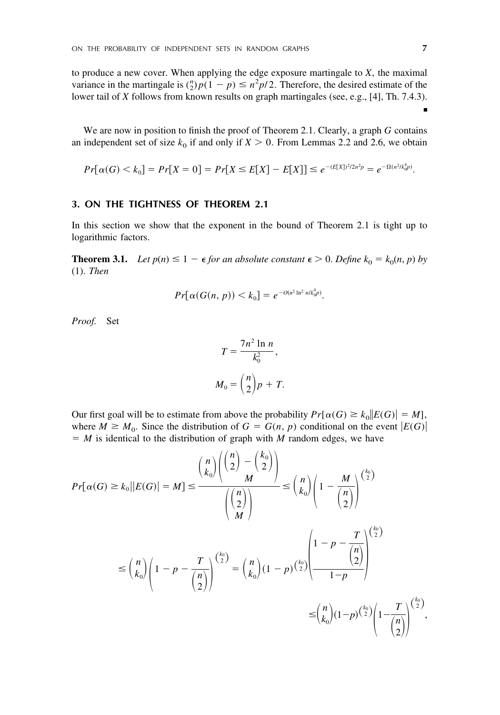to produce a new cover. When applying the edge exposure martingale to *X*, the maximal variance in the martingale is  $\binom{n}{2} p(1-p) \leq n^2 p/2$ . Therefore, the desired estimate of the lower tail of *X* follows from known results on graph martingales (see, e.g., [4], Th. 7.4.3).

We are now in position to finish the proof of Theorem 2.1. Clearly, a graph *G* contains an independent set of size  $k_0$  if and only if  $X > 0$ . From Lemmas 2.2 and 2.6, we obtain

$$
Pr[\alpha(G) < k_0] = Pr[X = 0] = Pr[X \le E[X] - E[X]] \le e^{-(E[X])^2/2n^2p} = e^{-\Omega(n^2/k_0^4p)}.
$$

## **3. ON THE TIGHTNESS OF THEOREM 2.1**

In this section we show that the exponent in the bound of Theorem 2.1 is tight up to logarithmic factors.

**Theorem 3.1.** *Let*  $p(n) \leq 1 - \epsilon$  *for an absolute constant*  $\epsilon > 0$ *. Define*  $k_0 = k_0(n, p)$  *by* (1). *Then*

$$
Pr[\alpha(G(n, p)) < k_0] = e^{-O(n^2 \ln^2 n / k_0^4 p)}.
$$

*Proof.* Set

$$
T = \frac{7n^2 \ln n}{k_0^2},
$$
  

$$
M_0 = {n \choose 2} p + T.
$$

Our first goal will be to estimate from above the probability  $Pr[\alpha(G) \ge k_0 || E(G) | = M]$ , where  $M \geq M_0$ . Since the distribution of  $G = G(n, p)$  conditional on the event  $|E(G)|$  $M = M$  is identical to the distribution of graph with *M* random edges, we have

$$
Pr[\alpha(G) \ge k_0 || E(G) | = M] \le \frac{{\binom{n}{k_0}} {\binom{n}{2} - \binom{k_0}{2}}}{{\binom{n}{2}}} \le {\binom{n}{k_0}} {\binom{1 - \frac{M}{2}}{\binom{n}{2}}}^{\binom{k_0}{2}}
$$

$$
\le {\binom{n}{k_0}} {\binom{1 - p - \frac{T}{\binom{n}{2}}}^{\binom{k_0}{2}}} = {\binom{n}{k_0}} (1 - p)^{\binom{k_0}{2}} \frac{{\binom{n}{2}} - \frac{T}{\binom{n}{2}}}{{\binom{n}{2}}}^{\binom{k_0}{2}}
$$

$$
\le {\binom{n}{k_0}} (1 - p)^{\binom{k_0}{2}} {\binom{1 - p - \binom{n}{2}}}^{\binom{k_0}{2}}
$$

$$
\le {\binom{n}{k_0}} (1 - p)^{\binom{k_0}{2}} {\binom{1 - \binom{n}{2}}}^{\binom{k_0}{2}}
$$

■

,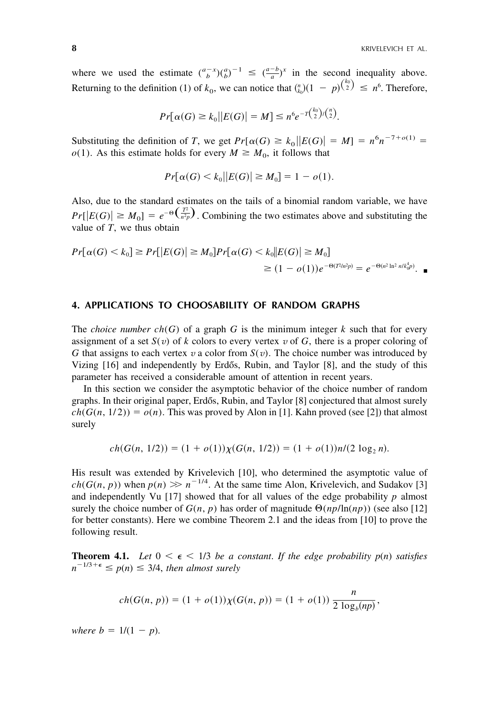where we used the estimate  $\binom{a-x}{b}\binom{a}{b}^{-1} \leq \binom{a-b}{a}^x$  in the second inequality above. where we used the estimate  $\binom{n}{b}$   $\binom{n}{b}$   $\leq \frac{n}{a}$  in the second inequality above.<br>Returning to the definition (1) of  $k_0$ , we can notice that  $\binom{n}{k_0}(1 - p)^{\binom{k_0}{2}} \leq n^6$ . Therefore,

$$
Pr[\alpha(G) \ge k_0 | |E(G)| = M] \le n^6 e^{-T {k_0 \choose 2} / {n \choose 2}}.
$$

Substituting the definition of *T*, we get  $Pr[\alpha(G) \ge k_0 || E(G) | = M] = n^6 n^{-7+o(1)} =$  $o(1)$ . As this estimate holds for every  $M \geq M_0$ , it follows that

$$
Pr[\alpha(G) < k_0 | |E(G)| \ge M_0] = 1 - o(1).
$$

Also, due to the standard estimates on the tails of a binomial random variable, we have *Pr*[ $|E(G)| \ge M_0$ ] =  $e^{-\Theta(\frac{T^2}{n^2p})}$ . Combining the two estimates above and substituting the value of *T*, we thus obtain

$$
Pr[\alpha(G) < k_0] \ge Pr[|E(G)| \ge M_0] Pr[\alpha(G) < k_0 | |E(G)| \ge M_0] \\
\ge (1 - o(1))e^{-\Theta(T^2/n^2 p)} = e^{-\Theta(n^2 \ln^2 n / k_0^4 p)}.\n\equiv
$$

#### **4. APPLICATIONS TO CHOOSABILITY OF RANDOM GRAPHS**

The *choice number ch*( $G$ ) of a graph  $G$  is the minimum integer  $k$  such that for every assignment of a set  $S(v)$  of k colors to every vertex v of G, there is a proper coloring of *G* that assigns to each vertex *v* a color from  $S(v)$ . The choice number was introduced by Vizing [16] and independently by Erdős, Rubin, and Taylor [8], and the study of this parameter has received a considerable amount of attention in recent years.

In this section we consider the asymptotic behavior of the choice number of random graphs. In their original paper, Erdős, Rubin, and Taylor [8] conjectured that almost surely  $ch(G(n, 1/2)) = o(n)$ . This was proved by Alon in [1]. Kahn proved (see [2]) that almost surely

$$
ch(G(n, 1/2)) = (1 + o(1))\chi(G(n, 1/2)) = (1 + o(1))n/(2 \log_2 n).
$$

His result was extended by Krivelevich [10], who determined the asymptotic value of  $ch(G(n, p))$  when  $p(n) \gg n^{-1/4}$ . At the same time Alon, Krivelevich, and Sudakov [3] and independently Vu [17] showed that for all values of the edge probability  $p$  almost surely the choice number of  $G(n, p)$  has order of magnitude  $\Theta(np/\ln(np))$  (see also [12] for better constants). Here we combine Theorem 2.1 and the ideas from [10] to prove the following result.

**Theorem 4.1.** Let  $0 < \epsilon < 1/3$  be a constant. If the edge probability  $p(n)$  satisfies  $n^{-1/3+\epsilon} \le p(n) \le 3/4$ , *then almost surely* 

$$
ch(G(n, p)) = (1 + o(1))\chi(G(n, p)) = (1 + o(1))\frac{n}{2 \log_b(np)},
$$

*where*  $b = 1/(1 - p)$ .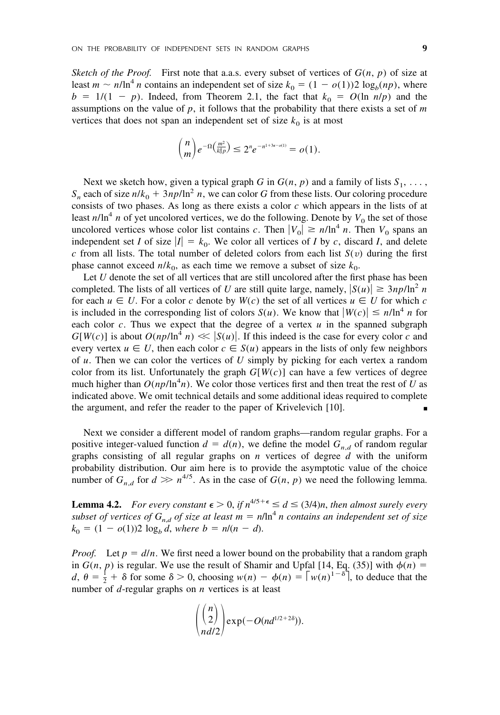*Sketch of the Proof.* First note that a.a.s. every subset of vertices of  $G(n, p)$  of size at least  $m \sim n/\ln^4 n$  contains an independent set of size  $k_0 = (1 - o(1))2 \log_b(np)$ , where  $b = 1/(1 - p)$ . Indeed, from Theorem 2.1, the fact that  $k_0 = O(\ln n/p)$  and the assumptions on the value of  $p$ , it follows that the probability that there exists a set of  $m$ vertices that does not span an independent set of size  $k_0$  is at most

$$
\binom{n}{m}e^{-\Omega\left(\frac{m^2}{k_0^4p}\right)} \leq 2^n e^{-n^{1+3\epsilon-o(1)}} = o(1).
$$

Next we sketch how, given a typical graph *G* in  $G(n, p)$  and a family of lists  $S_1, \ldots$ ,  $S_n$  each of size  $n/k_0 + 3np/\ln^2 n$ , we can color *G* from these lists. Our coloring procedure consists of two phases. As long as there exists a color *c* which appears in the lists of at least  $n/\ln^4 n$  of yet uncolored vertices, we do the following. Denote by  $V_0$  the set of those uncolored vertices whose color list contains *c*. Then  $|V_0| \ge n/\ln^4 n$ . Then  $V_0$  spans an independent set *I* of size  $|I| = k_0$ . We color all vertices of *I* by *c*, discard *I*, and delete *c* from all lists. The total number of deleted colors from each list  $S(v)$  during the first phase cannot exceed  $n/k_0$ , as each time we remove a subset of size  $k_0$ .

Let *U* denote the set of all vertices that are still uncolored after the first phase has been completed. The lists of all vertices of *U* are still quite large, namely,  $|S(u)| \ge 3np/\ln^2 n$ for each  $u \in U$ . For a color *c* denote by  $W(c)$  the set of all vertices  $u \in U$  for which *c* is included in the corresponding list of colors  $S(u)$ . We know that  $|W(c)| \le n/\ln^4 n$  for each color  $c$ . Thus we expect that the degree of a vertex  $u$  in the spanned subgraph  $G[W(c)]$  is about  $O(np/\ln^4 n) \ll |S(u)|$ . If this indeed is the case for every color *c* and every vertex  $u \in U$ , then each color  $c \in S(u)$  appears in the lists of only few neighbors of *u*. Then we can color the vertices of *U* simply by picking for each vertex a random color from its list. Unfortunately the graph  $G[W(c)]$  can have a few vertices of degree much higher than  $O(np/\ln^4 n)$ . We color those vertices first and then treat the rest of *U* as indicated above. We omit technical details and some additional ideas required to complete the argument, and refer the reader to the paper of Krivelevich [10].

Next we consider a different model of random graphs—random regular graphs. For a positive integer-valued function  $d = d(n)$ , we define the model  $G_{n,d}$  of random regular graphs consisting of all regular graphs on *n* vertices of degree *d* with the uniform probability distribution. Our aim here is to provide the asymptotic value of the choice number of  $G_{n,d}$  for  $d \gg n^{4/5}$ . As in the case of  $G(n, p)$  we need the following lemma.

**Lemma 4.2.** *For every constant*  $\epsilon > 0$ , *if*  $n^{4/5 + \epsilon} \le d \le (3/4)n$ , *then almost surely every subset of vertices of*  $G_{n,d}$  *of size at least*  $m = n/\ln^4 n$  *contains an independent set of size*  $k_0 = (1 - o(1))2 \log_b d$ , *where b* =  $n/(n - d)$ .

*Proof.* Let  $p = d/n$ . We first need a lower bound on the probability that a random graph in  $G(n, p)$  is regular. We use the result of Shamir and Upfal [14, Eq. (35)] with  $\phi(n)$  =  $d, \theta = \frac{1}{2} + \delta$  for some  $\delta > 0$ , choosing  $w(n) - \phi(n) = \lceil w(n)^{1-\delta} \rceil$ , to deduce that the number of *d*-regular graphs on *n* vertices is at least

$$
\binom{\binom{n}{2}}{n d/2} \exp(-O(nd^{1/2+2\delta})).
$$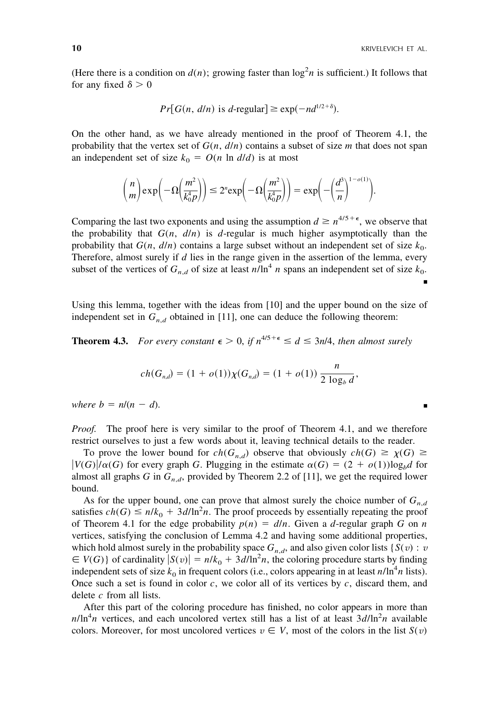(Here there is a condition on  $d(n)$ ; growing faster than  $\log^2 n$  is sufficient.) It follows that for any fixed  $\delta > 0$ 

$$
Pr[G(n, d/n)
$$
 is d-regular]  $\geq$  exp $(-nd^{1/2+\delta})$ .

On the other hand, as we have already mentioned in the proof of Theorem 4.1, the probability that the vertex set of  $G(n, d/n)$  contains a subset of size *m* that does not span an independent set of size  $k_0 = O(n \ln d/d)$  is at most

$$
{\binom{n}{m}}\exp\bigg(-\Omega\bigg(\frac{m^2}{k_0^4p}\bigg)\bigg) \leq 2^n \exp\bigg(-\Omega\bigg(\frac{m^2}{k_0^4p}\bigg)\bigg) = \exp\bigg(-\bigg(\frac{d^3}{n}\bigg)^{1-o(1)}\bigg).
$$

Comparing the last two exponents and using the assumption  $d \geq n^{4/5 + \epsilon}$ , we observe that the probability that  $G(n, d/n)$  is *d*-regular is much higher asymptotically than the probability that  $G(n, d/n)$  contains a large subset without an independent set of size  $k_0$ . Therefore, almost surely if *d* lies in the range given in the assertion of the lemma, every subset of the vertices of  $G_{n,d}$  of size at least  $n/\ln^4 n$  spans an independent set of size  $k_0$ . ■

Using this lemma, together with the ideas from [10] and the upper bound on the size of independent set in  $G_{n,d}$  obtained in [11], one can deduce the following theorem:

**Theorem 4.3.** For every constant  $\epsilon > 0$ , if  $n^{4/5 + \epsilon} \le d \le 3n/4$ , then almost surely

$$
ch(G_{n,d}) = (1 + o(1))\chi(G_{n,d}) = (1 + o(1))\frac{n}{2\log_b d},
$$

*where b* =  $n/(n - d)$ *.*  $-d$ ).

*Proof.* The proof here is very similar to the proof of Theorem 4.1, and we therefore restrict ourselves to just a few words about it, leaving technical details to the reader.

To prove the lower bound for  $ch(G_{n,d})$  observe that obviously  $ch(G) \ge \chi(G) \ge$  $|V(G)|/\alpha(G)$  for every graph *G*. Plugging in the estimate  $\alpha(G) = (2 + o(1))\log_b d$  for almost all graphs *G* in  $G_{n,d}$ , provided by Theorem 2.2 of [11], we get the required lower bound.

As for the upper bound, one can prove that almost surely the choice number of  $G_{n,d}$ satisfies  $ch(G) \leq n/k_0 + 3d/\ln^2 n$ . The proof proceeds by essentially repeating the proof of Theorem 4.1 for the edge probability  $p(n) = d/n$ . Given a *d*-regular graph *G* on *n* vertices, satisfying the conclusion of Lemma 4.2 and having some additional properties, which hold almost surely in the probability space  $G_{n,d}$ , and also given color lists { $S(v)$  : *v*  $V(G)$  of cardinality  $|S(v)| = n/k_0 + 3d/\ln^2 n$ , the coloring procedure starts by finding independent sets of size  $k_0$  in frequent colors (i.e., colors appearing in at least  $n/\ln^4 n$  lists). Once such a set is found in color *c*, we color all of its vertices by *c*, discard them, and delete *c* from all lists.

After this part of the coloring procedure has finished, no color appears in more than  $n/\ln^4 n$  vertices, and each uncolored vertex still has a list of at least  $3d/\ln^2 n$  available colors. Moreover, for most uncolored vertices  $v \in V$ , most of the colors in the list  $S(v)$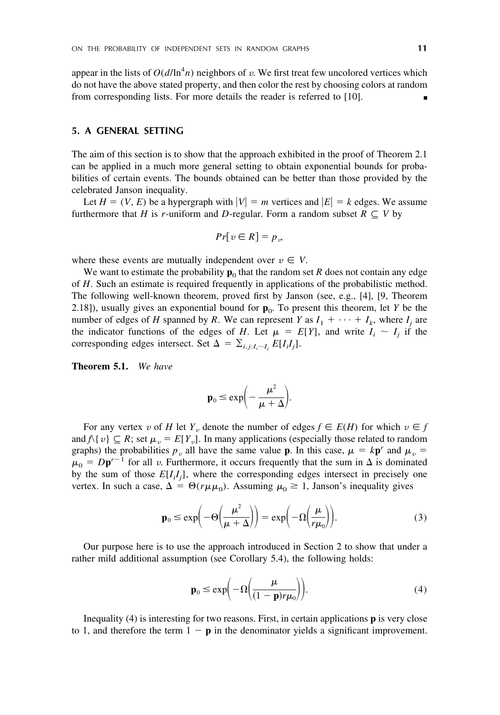appear in the lists of  $O(d/\ln^4 n)$  neighbors of *v*. We first treat few uncolored vertices which do not have the above stated property, and then color the rest by choosing colors at random from corresponding lists. For more details the reader is referred to [10].

## **5. A GENERAL SETTING**

The aim of this section is to show that the approach exhibited in the proof of Theorem 2.1 can be applied in a much more general setting to obtain exponential bounds for probabilities of certain events. The bounds obtained can be better than those provided by the celebrated Janson inequality.

Let  $H = (V, E)$  be a hypergraph with  $|V| = m$  vertices and  $|E| = k$  edges. We assume furthermore that *H* is *r*-uniform and *D*-regular. Form a random subset  $R \subseteq V$  by

$$
Pr[v \in R] = p_v
$$

where these events are mutually independent over  $v \in V$ .

We want to estimate the probability  $\mathbf{p}_0$  that the random set *R* does not contain any edge of *H*. Such an estimate is required frequently in applications of the probabilistic method. The following well-known theorem, proved first by Janson (see, e.g., [4], [9, Theorem 2.18]), usually gives an exponential bound for  $\mathbf{p}_0$ . To present this theorem, let *Y* be the number of edges of *H* spanned by *R*. We can represent *Y* as  $I_1 + \cdots + I_k$ , where  $I_i$  are the indicator functions of the edges of *H*. Let  $\mu = E[Y]$ , and write  $I_i \sim I_j$  if the corresponding edges intersect. Set  $\Delta = \sum_{i,j:I_i \sim I_j} E[I_i I_j].$ 

**Theorem 5.1.** *We have*

$$
\mathbf{p}_0 \le \exp\biggl(-\frac{\mu^2}{\mu+\Delta}\biggr).
$$

For any vertex *v* of *H* let  $Y_v$  denote the number of edges  $f \in E(H)$  for which  $v \in f$ and  $f(\{v\}) \subseteq R$ ; set  $\mu_v = E[Y_v]$ . In many applications (especially those related to random graphs) the probabilities  $p_v$  all have the same value **p**. In this case,  $\mu = kp^r$  and  $\mu_v =$  $\mu_0 = Dp^{r-1}$  for all *v*. Furthermore, it occurs frequently that the sum in  $\Delta$  is dominated by the sum of those  $E[I_i I_j]$ , where the corresponding edges intersect in precisely one vertex. In such a case,  $\Delta = \Theta(r\mu\mu_0)$ . Assuming  $\mu_0 \ge 1$ , Janson's inequality gives

$$
\mathbf{p}_0 \le \exp\biggl(-\Theta\biggl(\frac{\mu^2}{\mu+\Delta}\biggr)\biggr) = \exp\biggl(-\Omega\biggl(\frac{\mu}{r\mu_0}\biggr)\biggr). \tag{3}
$$

Our purpose here is to use the approach introduced in Section 2 to show that under a rather mild additional assumption (see Corollary 5.4), the following holds:

$$
\mathbf{p}_0 \le \exp\biggl(-\Omega\biggl(\frac{\mu}{(1-\mathbf{p})r\mu_0}\biggr)\biggr). \tag{4}
$$

Inequality (4) is interesting for two reasons. First, in certain applications **p** is very close to 1, and therefore the term  $1 - p$  in the denominator yields a significant improvement.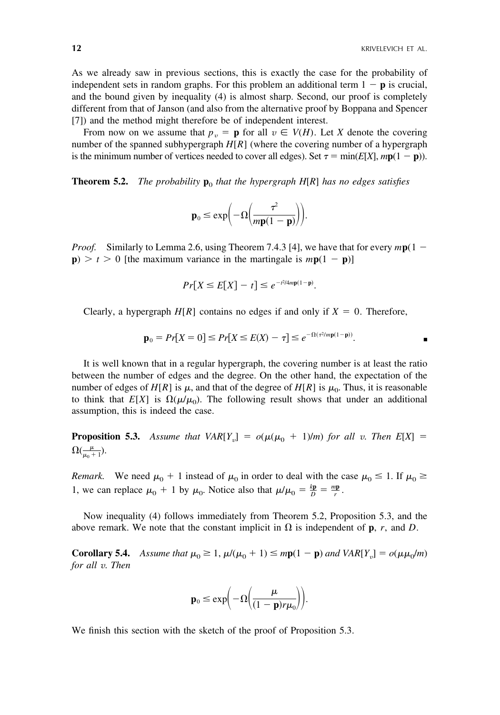As we already saw in previous sections, this is exactly the case for the probability of independent sets in random graphs. For this problem an additional term  $1 - p$  is crucial, and the bound given by inequality (4) is almost sharp. Second, our proof is completely different from that of Janson (and also from the alternative proof by Boppana and Spencer [7]) and the method might therefore be of independent interest.

From now on we assume that  $p_v = \mathbf{p}$  for all  $v \in V(H)$ . Let *X* denote the covering number of the spanned subhypergraph *H*[*R*] (where the covering number of a hypergraph is the minimum number of vertices needed to cover all edges). Set  $\tau = \min(E[X], mp(1 - p))$ .

**Theorem 5.2.** *The probability*  $\mathbf{p}_0$  *that the hypergraph H[R] has no edges satisfies* 

$$
\mathbf{p}_0 \le \exp\biggl(-\Omega\biggl(\frac{\tau^2}{m\mathbf{p}(1-\mathbf{p})}\biggr)\biggr).
$$

*Proof.* Similarly to Lemma 2.6, using Theorem 7.4.3 [4], we have that for every  $mp(1 \mathbf{p}$ )  $> t > 0$  [the maximum variance in the martingale is  $m\mathbf{p}(1 - \mathbf{p})$ ]

$$
Pr[X \le E[X] - t] \le e^{-t^2/4mp(1-p)}.
$$

Clearly, a hypergraph  $H[R]$  contains no edges if and only if  $X = 0$ . Therefore,

$$
\mathbf{p}_0 = Pr[X = 0] \le Pr[X \le E(X) - \tau] \le e^{-\Omega(\tau^2/m\mathbf{p}(1-\mathbf{p}))}.
$$

It is well known that in a regular hypergraph, the covering number is at least the ratio between the number of edges and the degree. On the other hand, the expectation of the number of edges of  $H[R]$  is  $\mu$ , and that of the degree of  $H[R]$  is  $\mu_0$ . Thus, it is reasonable to think that  $E[X]$  is  $\Omega(\mu/\mu_0)$ . The following result shows that under an additional assumption, this is indeed the case.

**Proposition 5.3.** Assume that  $VAR[Y_v] = o(\mu(\mu_0 + 1)/m)$  for all *v*. Then  $E[X] =$  $\Omega(\frac{\mu}{\mu_0+1}).$ 

*Remark.* We need  $\mu_0 + 1$  instead of  $\mu_0$  in order to deal with the case  $\mu_0 \le 1$ . If  $\mu_0 \ge$ 1, we can replace  $\mu_0 + 1$  by  $\mu_0$ . Notice also that  $\mu/\mu_0 = \frac{k\mathbf{p}}{D} = \frac{m\mathbf{p}}{r}$ .

Now inequality (4) follows immediately from Theorem 5.2, Proposition 5.3, and the above remark. We note that the constant implicit in  $\Omega$  is independent of **p**, *r*, and *D*.

**Corollary 5.4.** *Assume that*  $\mu_0 \geq 1$ ,  $\mu/(\mu_0 + 1) \leq mp(1 - p)$  and  $VAR[Y_v] = o(\mu \mu_0/m)$ *for all v*. *Then*

$$
\mathbf{p}_0 \le \exp\biggl(-\Omega\biggl(\frac{\mu}{(1-\mathbf{p})r\mu_0}\biggr)\biggr).
$$

We finish this section with the sketch of the proof of Proposition 5.3.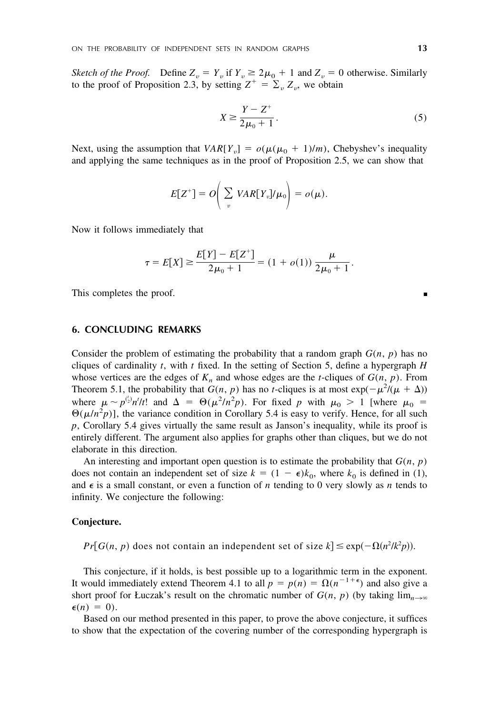*Sketch of the Proof.* Define  $Z_v = Y_v$  if  $Y_v \ge 2\mu_0 + 1$  and  $Z_v = 0$  otherwise. Similarly to the proof of Proposition 2.3, by setting  $Z^+ = \sum_{\nu} Z_{\nu}$ , we obtain

$$
X \ge \frac{Y - Z^{+}}{2\mu_{0} + 1}.
$$
\n(5)

Next, using the assumption that  $VAR[Y_{v}] = o(\mu(\mu_0 + 1)/m)$ , Chebyshev's inequality and applying the same techniques as in the proof of Proposition 2.5, we can show that

$$
E[Z^+] = O\bigg(\sum_v \text{VAR}[Y_v] / \mu_0\bigg) = o(\mu).
$$

Now it follows immediately that

$$
\tau = E[X] \ge \frac{E[Y] - E[Z^+]}{2\mu_0 + 1} = (1 + o(1)) \frac{\mu}{2\mu_0 + 1}.
$$

This completes the proof.

#### **6. CONCLUDING REMARKS**

Consider the problem of estimating the probability that a random graph  $G(n, p)$  has no cliques of cardinality *t*, with *t* fixed. In the setting of Section 5, define a hypergraph *H* whose vertices are the edges of  $K_n$  and whose edges are the *t*-cliques of  $G(n, p)$ . From Theorem 5.1, the probability that  $G(n, p)$  has no *t*-cliques is at most  $\exp(-\mu^2/(\mu + \Delta))$ where  $\mu \sim p^{(\frac{1}{2})}n'/t!$  and  $\Delta = \Theta(\mu^2/n^2p)$ . For fixed p with  $\mu_0 > 1$  [where  $\mu_0 =$  $\Theta(\mu/n^2 p)$ , the variance condition in Corollary 5.4 is easy to verify. Hence, for all such *p*, Corollary 5.4 gives virtually the same result as Janson's inequality, while its proof is entirely different. The argument also applies for graphs other than cliques, but we do not elaborate in this direction.

An interesting and important open question is to estimate the probability that  $G(n, p)$ does not contain an independent set of size  $k = (1 - \epsilon)k_0$ , where  $k_0$  is defined in (1), and  $\epsilon$  is a small constant, or even a function of *n* tending to 0 very slowly as *n* tends to infinity. We conjecture the following:

#### **Conjecture.**

 $Pr[G(n, p)$  does not contain an independent set of size  $k$   $\leq$   $exp(-\Omega(n^2/k^2p)).$ 

This conjecture, if it holds, is best possible up to a logarithmic term in the exponent. It would immediately extend Theorem 4.1 to all  $p = p(n) = \Omega(n^{-1+\epsilon})$  and also give a short proof for Łuczak's result on the chromatic number of  $G(n, p)$  (by taking  $\lim_{n\to\infty}$  $\epsilon(n) = 0$ ).

Based on our method presented in this paper, to prove the above conjecture, it suffices to show that the expectation of the covering number of the corresponding hypergraph is